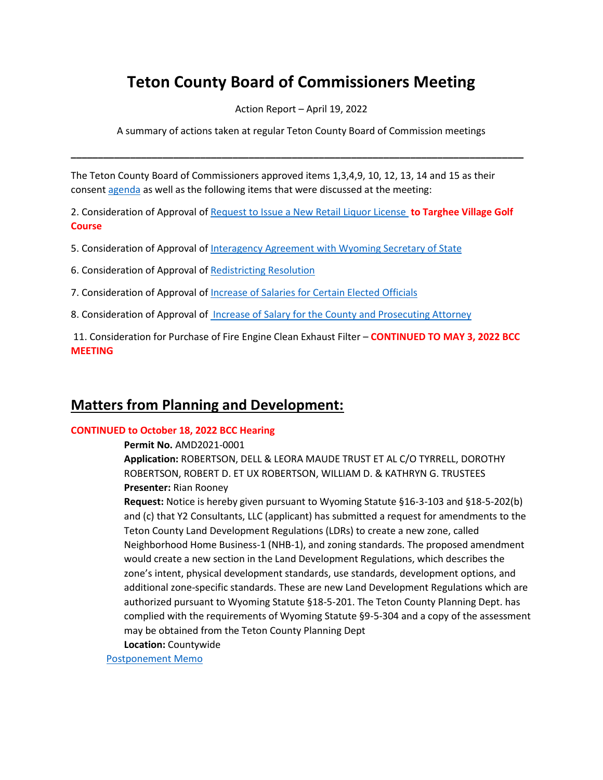# **Teton County Board of Commissioners Meeting**

Action Report – April 19, 2022

A summary of actions taken at regular Teton County Board of Commission meetings

**\_\_\_\_\_\_\_\_\_\_\_\_\_\_\_\_\_\_\_\_\_\_\_\_\_\_\_\_\_\_\_\_\_\_\_\_\_\_\_\_\_\_\_\_\_\_\_\_\_\_\_\_\_\_\_\_\_\_\_\_\_\_\_\_\_\_\_\_\_\_\_\_\_\_\_\_\_\_\_\_\_\_\_\_**

The Teton County Board of Commissioners approved items 1,3,4,9, 10, 12, 13, 14 and 15 as their consent [agenda](https://www.tetoncountywy.gov/AgendaCenter/ViewFile/Agenda/_04192022-1869) as well as the following items that were discussed at the meeting:

2. Consideration of Approval of [Request to Issue a New Retail Liquor License](https://www.tetoncountywy.gov/DocumentCenter/View/21858/04192-New-Retail-Liquor-License) **to Targhee Village Golf Course**

- 5. Consideration of Approval of [Interagency Agreement with Wyoming Secretary of State](https://tetoncountywy.gov/DocumentCenter/View/21887/04195-INTERAGENCY-AGREEMENT-WITH-SOS)
- 6. Consideration of Approval of [Redistricting Resolution](https://www.tetoncountywy.gov/DocumentCenter/View/21859/04196-Redistricting-Resolution)

7. Consideration of Approval of [Increase of Salaries for Certain Elected Officials](https://www.tetoncountywy.gov/DocumentCenter/View/21860/04197-Salaries-Increase-for-Certain-Elected-Officials)

8. Consideration of Approval of [Increase of Salary for the County and Prosecuting Attorney](https://www.tetoncountywy.gov/DocumentCenter/View/21861/04198-Salary-for-the-County-and-Prosecuting-Attorney)

11. Consideration for Purchase of Fire Engine Clean Exhaust Filter – **CONTINUED TO MAY 3, 2022 BCC MEETING**

## **Matters from Planning and Development:**

#### **CONTINUED to October 18, 2022 BCC Hearing**

**Permit No.** AMD2021-0001

**Application:** ROBERTSON, DELL & LEORA MAUDE TRUST ET AL C/O TYRRELL, DOROTHY ROBERTSON, ROBERT D. ET UX ROBERTSON, WILLIAM D. & KATHRYN G. TRUSTEES **Presenter:** Rian Rooney

**Request:** Notice is hereby given pursuant to Wyoming Statute §16-3-103 and §18-5-202(b) and (c) that Y2 Consultants, LLC (applicant) has submitted a request for amendments to the Teton County Land Development Regulations (LDRs) to create a new zone, called Neighborhood Home Business-1 (NHB-1), and zoning standards. The proposed amendment would create a new section in the Land Development Regulations, which describes the zone's intent, physical development standards, use standards, development options, and additional zone-specific standards. These are new Land Development Regulations which are authorized pursuant to Wyoming Statute §18-5-201. The Teton County Planning Dept. has complied with the requirements of Wyoming Statute §9-5-304 and a copy of the assessment may be obtained from the Teton County Planning Dept

**Location:** Countywide

[Postponement Memo](https://www.tetoncountywy.gov/DocumentCenter/View/21868/AMD2021-0001-ZMA2021-0001-BCC-041922-Postponement-Memo)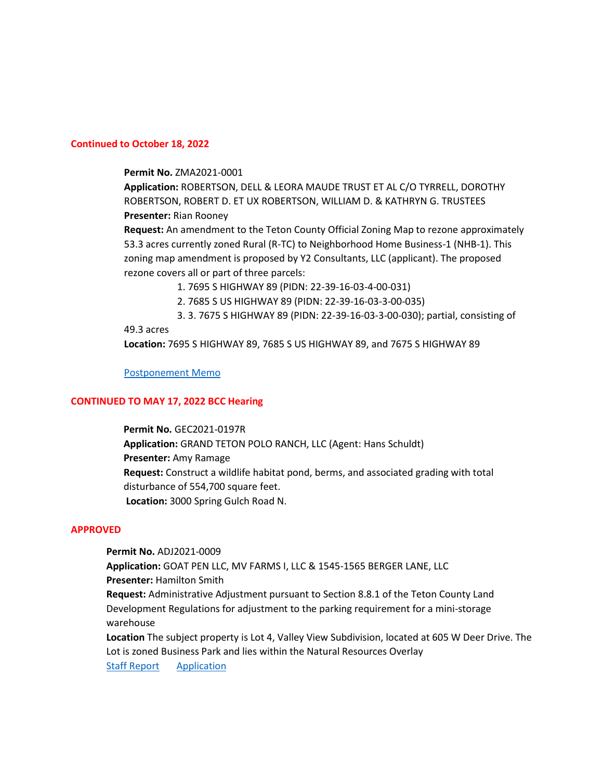#### **Continued to October 18, 2022**

#### **Permit No.** ZMA2021-0001

**Application:** ROBERTSON, DELL & LEORA MAUDE TRUST ET AL C/O TYRRELL, DOROTHY ROBERTSON, ROBERT D. ET UX ROBERTSON, WILLIAM D. & KATHRYN G. TRUSTEES **Presenter:** Rian Rooney

**Request:** An amendment to the Teton County Official Zoning Map to rezone approximately 53.3 acres currently zoned Rural (R-TC) to Neighborhood Home Business-1 (NHB-1). This zoning map amendment is proposed by Y2 Consultants, LLC (applicant). The proposed rezone covers all or part of three parcels:

1. 7695 S HIGHWAY 89 (PIDN: 22-39-16-03-4-00-031)

2. 7685 S US HIGHWAY 89 (PIDN: 22-39-16-03-3-00-035)

3. 3. 7675 S HIGHWAY 89 (PIDN: 22-39-16-03-3-00-030); partial, consisting of 49.3 acres

**Location:** 7695 S HIGHWAY 89, 7685 S US HIGHWAY 89, and 7675 S HIGHWAY 89

#### [Postponement Memo](https://www.tetoncountywy.gov/DocumentCenter/View/21868/AMD2021-0001-ZMA2021-0001-BCC-041922-Postponement-Memo)

#### **CONTINUED TO MAY 17, 2022 BCC Hearing**

 **Permit No.** GEC2021-0197R  **Application:** GRAND TETON POLO RANCH, LLC (Agent: Hans Schuldt)  **Presenter:** Amy Ramage **Request:** Construct a wildlife habitat pond, berms, and associated grading with total disturbance of 554,700 square feet.  **Location:** 3000 Spring Gulch Road N.

#### **APPROVED**

**Permit No.** ADJ2021-0009 **Application:** GOAT PEN LLC, MV FARMS I, LLC & 1545-1565 BERGER LANE, LLC **Presenter:** Hamilton Smith **Request:** Administrative Adjustment pursuant to Section 8.8.1 of the Teton County Land Development Regulations for adjustment to the parking requirement for a mini-storage warehouse **Location** The subject property is Lot 4, Valley View Subdivision, located at 605 W Deer Drive. The Lot is zoned Business Park and lies within the Natural Resources Overlay

[Staff Report](https://www.tetoncountywy.gov/DocumentCenter/View/21870/DEV2021-0005-ADJ2021-0009-Packet-BCC-041922) [Application](https://developmentrecords.tetoncountywy.gov/Portal/Planning/Status?planningId=20577)